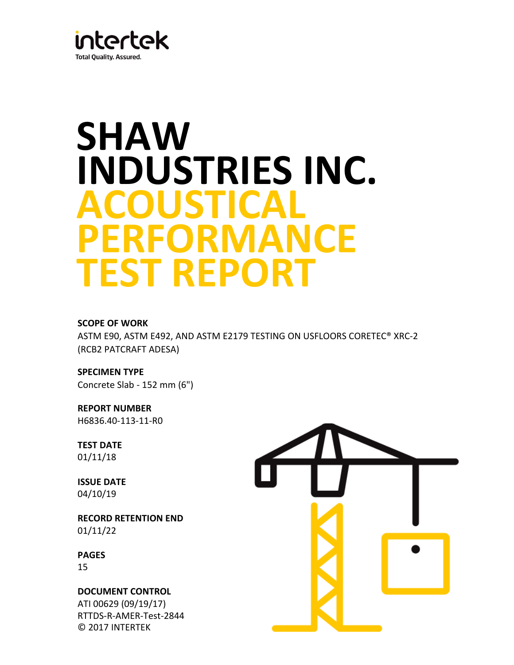

# **INDUSTRIES INC. SHAW ACOUSTICAL PERFORMANCE TEST REPORT**

# **SCOPE OF WORK**

ASTM E90, ASTM E492, AND ASTM E2179 TESTING ON USFLOORS CORETEC® XRC-2 (RCB2 PATCRAFT ADESA)

**SPECIMEN TYPE** Concrete Slab - 152 mm (6")

**REPORT NUMBER** H6836.40-113-11-R0

**TEST DATE** 01/11/18

04/10/19 **ISSUE DATE**

**RECORD RETENTION END**  01/11/22

**PAGES**

15

© 2017 INTERTEK RTTDS-R-AMER-Test-2844 ATI 00629 (09/19/17) **DOCUMENT CONTROL** 

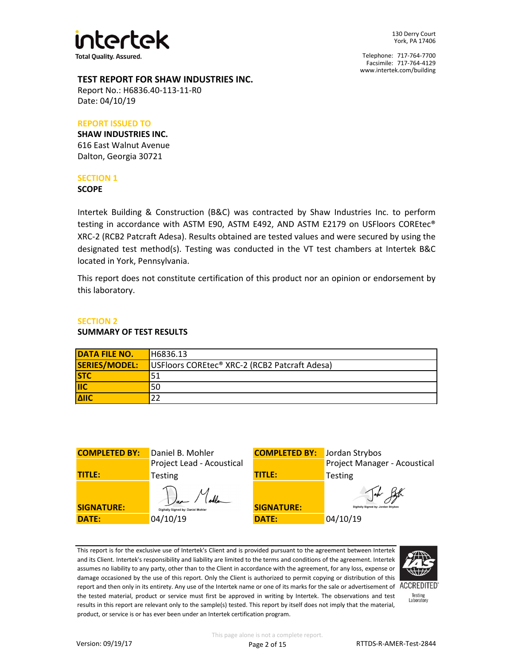

Facsimile: 717-764-4129 Telephone: 717-764-7700 www.intertek.com/building

### **TEST REPORT FOR SHAW INDUSTRIES INC.**

Report No.: H6836.40-113-11-R0 Date: 04/10/19

## **REPORT ISSUED TO**

**SHAW INDUSTRIES INC.** 616 East Walnut Avenue Dalton, Georgia 30721

# **SECTION 1**

#### **SCOPE**

Intertek Building & Construction (B&C) was contracted by Shaw Industries Inc. to perform testing in accordance with ASTM E90, ASTM E492, AND ASTM E2179 on USFloors COREtec® XRC-2 (RCB2 Patcraft Adesa). Results obtained are tested values and were secured by using the designated test method(s). Testing was conducted in the VT test chambers at Intertek B&C located in York, Pennsylvania.

This report does not constitute certification of this product nor an opinion or endorsement by this laboratory.

## **SECTION 2**

#### **SUMMARY OF TEST RESULTS**

| <b>DATA FILE NO.</b>      | H6836.13                                                  |
|---------------------------|-----------------------------------------------------------|
| SERIES/MODEL:             | USFloors COREtec <sup>®</sup> XRC-2 (RCB2 Patcraft Adesa) |
| <b>STC</b>                | 51                                                        |
| $\overline{\mathsf{IIC}}$ | 50                                                        |
| <b>AIIC</b>               | 22                                                        |

| <b>COMPLETED BY:</b> | Daniel B. Mohler                   | <b>COMPLETED BY:</b> | Lю |
|----------------------|------------------------------------|----------------------|----|
|                      | Project Lead - Acoustical          |                      | P  |
| <b>TITLE:</b>        | Testing                            | <b>TITLE:</b>        |    |
| <b>SIGNATURE:</b>    | Digitally Signed by: Daniel Mohler | <b>SIGNATURE:</b>    |    |
| <b>DATE:</b>         | 04/10/19                           | <b>DATE:</b>         | 0  |
|                      |                                    |                      |    |



This report is for the exclusive use of Intertek's Client and is provided pursuant to the agreement between Intertek and its Client. Intertek's responsibility and liability are limited to the terms and conditions of the agreement. Intertek assumes no liability to any party, other than to the Client in accordance with the agreement, for any loss, expense or damage occasioned by the use of this report. Only the Client is authorized to permit copying or distribution of this report and then only in its entirety. Any use of the Intertek name or one of its marks for the sale or advertisement of ACCREDITED the tested material, product or service must first be approved in writing by Intertek. The observations and test results in this report are relevant only to the sample(s) tested. This report by itself does not imply that the material, product, or service is or has ever been under an Intertek certification program.



Testing<br>Laboratory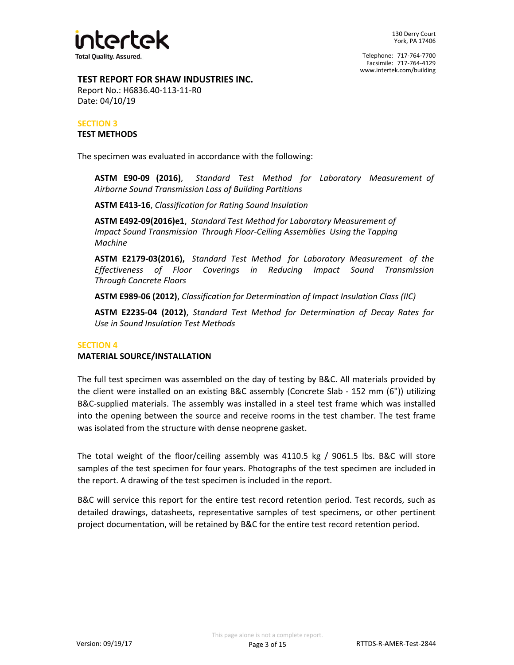

# **TEST REPORT FOR SHAW INDUSTRIES INC.**

Report No.: H6836.40-113-11-R0 Date: 04/10/19

## **SECTION 3 TEST METHODS**

The specimen was evaluated in accordance with the following:

**ASTM E90-09 (2016)**, *Standard Test Method for Laboratory Measurement of Airborne Sound Transmission Loss of Building Partitions*

**ASTM E413-16**, *Classification for Rating Sound Insulation*

**ASTM E492-09(2016)e1**, *Standard Test Method for Laboratory Measurement of Impact Sound Transmission Through Floor-Ceiling Assemblies Using the Tapping Machine*

**ASTM E2179-03(2016),** *Standard Test Method for Laboratory Measurement of the Effectiveness of Floor Coverings in Reducing Impact Sound Transmission Through Concrete Floors*

**ASTM E989-06 (2012)**, *Classification for Determination of Impact Insulation Class (IIC)*

**ASTM E2235-04 (2012)**, *Standard Test Method for Determination of Decay Rates for Use in Sound Insulation Test Methods*

# **SECTION 4**

# **MATERIAL SOURCE/INSTALLATION**

The full test specimen was assembled on the day of testing by B&C. All materials provided by the client were installed on an existing B&C assembly (Concrete Slab - 152 mm (6")) utilizing B&C-supplied materials. The assembly was installed in a steel test frame which was installed into the opening between the source and receive rooms in the test chamber. The test frame was isolated from the structure with dense neoprene gasket.

The total weight of the floor/ceiling assembly was 4110.5 kg / 9061.5 lbs. B&C will store samples of the test specimen for four years. Photographs of the test specimen are included in the report. A drawing of the test specimen is included in the report.

B&C will service this report for the entire test record retention period. Test records, such as detailed drawings, datasheets, representative samples of test specimens, or other pertinent project documentation, will be retained by B&C for the entire test record retention period.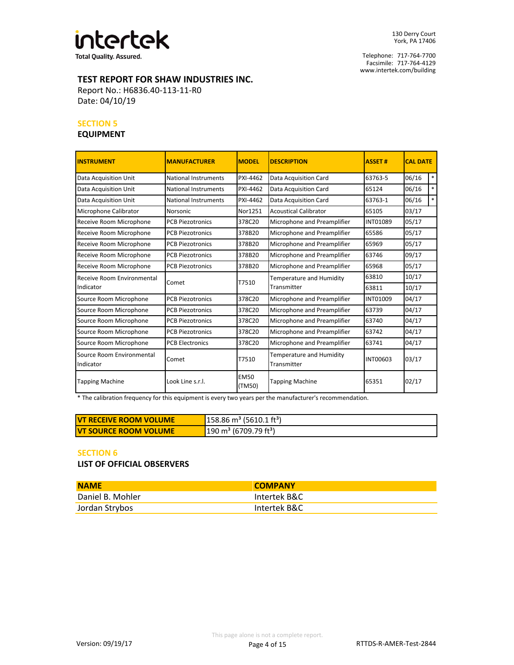

**Total Quality. Assured.** 

Facsimile: 717-764-4129 Telephone: 717-764-7700 www.intertek.com/building

# **TEST REPORT FOR SHAW INDUSTRIES INC.**

Report No.: H6836.40-113-11-R0 Date: 04/10/19

#### **SECTION 5**

# **EQUIPMENT**

| <b>INSTRUMENT</b>                      | <b>MANUFACTURER</b>         | <b>MODEL</b>          | <b>DESCRIPTION</b>                      | <b>ASSET#</b>   | <b>CAL DATE</b> |        |
|----------------------------------------|-----------------------------|-----------------------|-----------------------------------------|-----------------|-----------------|--------|
| Data Acquisition Unit                  | National Instruments        | PXI-4462              | Data Acquisition Card                   | 63763-5         | 06/16           | $*$    |
| Data Acquisition Unit                  | <b>National Instruments</b> | PXI-4462              | Data Acquisition Card                   | 65124           | 06/16           | $*$    |
| Data Acquisition Unit                  | <b>National Instruments</b> | PXI-4462              | Data Acquisition Card                   | 63763-1         | 06/16           | $\ast$ |
| Microphone Calibrator                  | Norsonic                    | Nor1251               | <b>Acoustical Calibrator</b>            | 65105           | 03/17           |        |
| Receive Room Microphone                | <b>PCB Piezotronics</b>     | 378C20                | Microphone and Preamplifier             | <b>INT01089</b> | 05/17           |        |
| Receive Room Microphone                | <b>PCB Piezotronics</b>     | 378B20                | Microphone and Preamplifier             | 65586           | 05/17           |        |
| Receive Room Microphone                | <b>PCB Piezotronics</b>     | 378B20                | Microphone and Preamplifier             | 65969           | 05/17           |        |
| Receive Room Microphone                | <b>PCB Piezotronics</b>     | 378B20                | Microphone and Preamplifier             | 63746           | 09/17           |        |
| Receive Room Microphone                | <b>PCB Piezotronics</b>     | 378B20                | Microphone and Preamplifier             | 65968           | 05/17           |        |
| Receive Room Environmental             |                             |                       | Temperature and Humidity                | 63810           | 10/17           |        |
| Indicator                              | Comet                       | T7510                 | Transmitter                             | 63811           | 10/17           |        |
| Source Room Microphone                 | <b>PCB Piezotronics</b>     | 378C20                | Microphone and Preamplifier             | <b>INT01009</b> | 04/17           |        |
| Source Room Microphone                 | <b>PCB Piezotronics</b>     | 378C20                | Microphone and Preamplifier             | 63739           | 04/17           |        |
| Source Room Microphone                 | <b>PCB Piezotronics</b>     | 378C20                | Microphone and Preamplifier             | 63740           | 04/17           |        |
| Source Room Microphone                 | <b>PCB Piezotronics</b>     | 378C20                | Microphone and Preamplifier             | 63742           | 04/17           |        |
| Source Room Microphone                 | <b>PCB Electronics</b>      | 378C20                | Microphone and Preamplifier             | 63741           | 04/17           |        |
| Source Room Environmental<br>Indicator | Comet                       | T7510                 | Temperature and Humidity<br>Transmitter | <b>INT00603</b> | 03/17           |        |
| <b>Tapping Machine</b>                 | Look Line s.r.l.            | <b>EM50</b><br>(TM50) | <b>Tapping Machine</b>                  | 65351           | 02/17           |        |

\* The calibration frequency for this equipment is every two years per the manufacturer's recommendation.

| <b>IVT RECEIVE ROOM VOLUME</b> | $158.86 \text{ m}^3$ (5610.1 ft <sup>3</sup> ) |
|--------------------------------|------------------------------------------------|
| <b>IVT SOURCE ROOM VOLUME</b>  | $190 \text{ m}^3$ (6709.79 ft <sup>3</sup> )   |

#### **SECTION 6**

**LIST OF OFFICIAL OBSERVERS**

| <b>NAME</b>      | <b>COMPANY</b> |
|------------------|----------------|
| Daniel B. Mohler | Intertek B&C   |
| Jordan Strybos   | Intertek B&C   |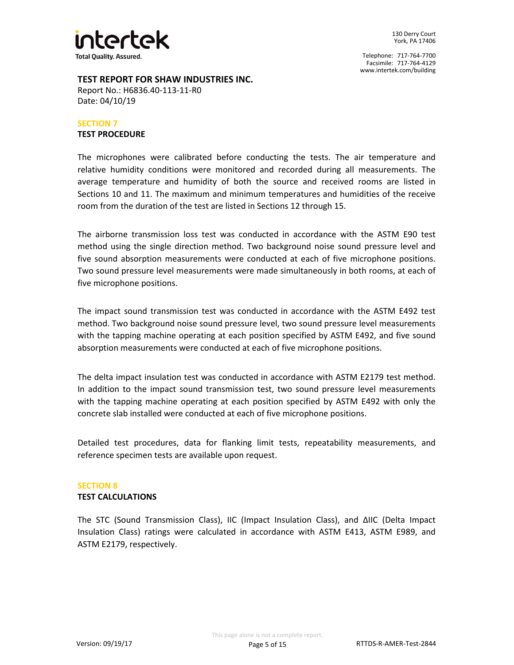

### **TEST REPORT FOR SHAW INDUSTRIES INC.**

Report No.: H6836.40-113-11-R0 Date: 04/10/19

#### **TEST PROCEDURE SECTION 7**

The microphones were calibrated before conducting the tests. The air temperature and relative humidity conditions were monitored and recorded during all measurements. The average temperature and humidity of both the source and received rooms are listed in Sections 10 and 11. The maximum and minimum temperatures and humidities of the receive room from the duration of the test are listed in Sections 12 through 15.

The airborne transmission loss test was conducted in accordance with the ASTM E90 test method using the single direction method. Two background noise sound pressure level and five sound absorption measurements were conducted at each of five microphone positions. Two sound pressure level measurements were made simultaneously in both rooms, at each of five microphone positions.

The impact sound transmission test was conducted in accordance with the ASTM E492 test method. Two background noise sound pressure level, two sound pressure level measurements with the tapping machine operating at each position specified by ASTM E492, and five sound absorption measurements were conducted at each of five microphone positions.

The delta impact insulation test was conducted in accordance with ASTM E2179 test method. In addition to the impact sound transmission test, two sound pressure level measurements with the tapping machine operating at each position specified by ASTM E492 with only the concrete slab installed were conducted at each of five microphone positions.

Detailed test procedures, data for flanking limit tests, repeatability measurements, and reference specimen tests are available upon request.

# **SECTION 8**

#### **TEST CALCULATIONS**

The STC (Sound Transmission Class), IIC (Impact Insulation Class), and ΔIIC (Delta Impact Insulation Class) ratings were calculated in accordance with ASTM E413, ASTM E989, and ASTM E2179, respectively.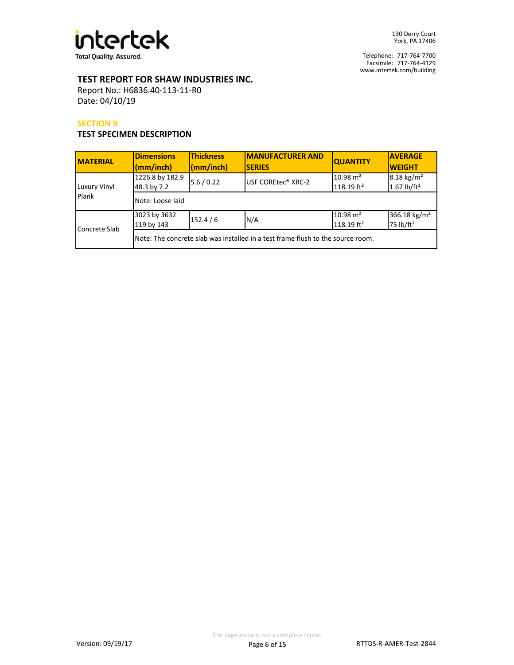

Facsimile: 717-764-4129 Telephone: 717-764-7700 www.intertek.com/building

# **TEST REPORT FOR SHAW INDUSTRIES INC.**

Report No.: H6836.40-113-11-R0 Date: 04/10/19

#### **SECTION 9**

# **TEST SPECIMEN DESCRIPTION**

| <b>MATERIAL</b>       | <b>Dimensions</b><br>(mm/inch)                                                  | <b>Thickness</b><br>(mm/inch) | <b>IMANUFACTURER AND</b><br><b>SERIES</b> | <b>QUANTITY</b>                                 | <b>AVERAGE</b><br><b>WEIGHT</b>                   |  |
|-----------------------|---------------------------------------------------------------------------------|-------------------------------|-------------------------------------------|-------------------------------------------------|---------------------------------------------------|--|
| Luxury Vinyl<br>Plank | 1226.8 by 182.9<br>48.3 by 7.2                                                  | 5.6 / 0.22                    | USF COREtec <sup>®</sup> XRC-2            | $10.98 \text{ m}^2$<br>$118.19$ ft <sup>2</sup> | $8.18 \text{ kg/m}^2$<br>1.67 $lb/ft^2$           |  |
|                       | Note: Loose laid                                                                |                               |                                           |                                                 |                                                   |  |
| Concrete Slab         | 3023 by 3632<br>119 by 143                                                      | 152.4/6                       | N/A                                       | $10.98 \text{ m}^2$<br>$118.19$ ft <sup>2</sup> | 366.18 kg/m <sup>2</sup><br>75 lb/ft <sup>2</sup> |  |
|                       | Note: The concrete slab was installed in a test frame flush to the source room. |                               |                                           |                                                 |                                                   |  |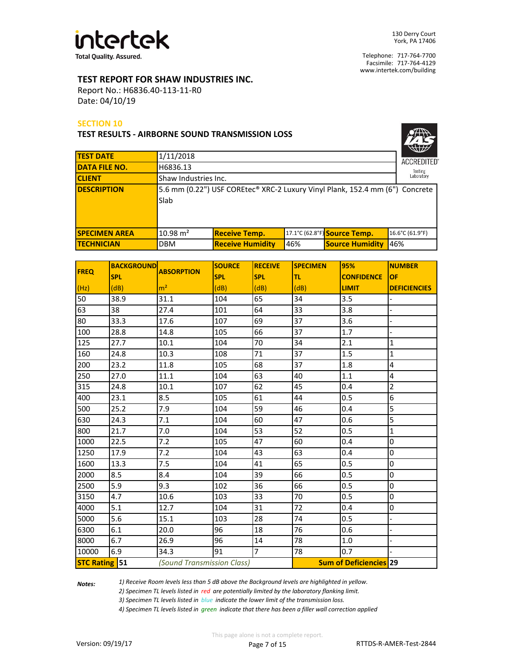

## **TEST REPORT FOR SHAW INDUSTRIES INC.**

Report No.: H6836.40-113-11-R0 Date: 04/10/19

#### **SECTION 10**

**TEST RESULTS - AIRBORNE SOUND TRANSMISSION LOSS**

| ACCREDITED°           |
|-----------------------|
| Testing<br>Laboratory |

| <b>TEST DATE</b>     | 1/11/2018            |                                                                              |     |                              | ឈ⊯<br><b>ACCREDITED</b> |
|----------------------|----------------------|------------------------------------------------------------------------------|-----|------------------------------|-------------------------|
| <b>DATA FILE NO.</b> | H6836.13             |                                                                              |     |                              | Testing                 |
| <b>CLIENT</b>        | Shaw Industries Inc. |                                                                              |     |                              | Laboratory              |
| <b>DESCRIPTION</b>   | Slab                 | 5.6 mm (0.22") USF COREtec® XRC-2 Luxury Vinyl Plank, 152.4 mm (6") Concrete |     |                              |                         |
| <b>SPECIMEN AREA</b> | $10.98 \text{ m}^2$  | <b>Receive Temp.</b>                                                         |     | 17.1°C (62.8°F) Source Temp. | 16.6°C (61.9°F)         |
| <b>TECHNICIAN</b>    | <b>DBM</b>           | <b>Receive Humidity</b>                                                      | 46% | <b>Source Humidity</b>       | 46%                     |

| <b>FREQ</b>          | <b>BACKGROUND</b> | <b>ABSORPTION</b>          | <b>SOURCE</b> | <b>RECEIVE</b> | <b>SPECIMEN</b> | 95%                           | <b>NUMBER</b>           |
|----------------------|-------------------|----------------------------|---------------|----------------|-----------------|-------------------------------|-------------------------|
|                      | <b>SPL</b>        |                            | <b>SPL</b>    | <b>SPL</b>     | lτι             | <b>CONFIDENCE</b>             | <b>OF</b>               |
| (Hz)                 | (dB)              | m <sup>2</sup>             | (dB)          | (dB)           | (dB)            | <b>LIMIT</b>                  | <b>DEFICIENCIES</b>     |
| 50                   | 38.9              | 31.1                       | 104           | 65             | 34              | 3.5                           |                         |
| 63                   | 38                | 27.4                       | 101           | 64             | 33              | 3.8                           |                         |
| 80                   | 33.3              | 17.6                       | 107           | 69             | 37              | 3.6                           |                         |
| 100                  | 28.8              | 14.8                       | 105           | 66             | 37              | 1.7                           |                         |
| 125                  | 27.7              | 10.1                       | 104           | 70             | 34              | 2.1                           | $\mathbf{1}$            |
| 160                  | 24.8              | 10.3                       | 108           | 71             | 37              | 1.5                           | 1                       |
| 200                  | 23.2              | 11.8                       | 105           | 68             | 37              | 1.8                           | 4                       |
| 250                  | 27.0              | 11.1                       | 104           | 63             | 40              | 1.1                           | $\overline{\mathbf{4}}$ |
| 315                  | 24.8              | 10.1                       | 107           | 62             | 45              | 0.4                           | $\overline{2}$          |
| 400                  | 23.1              | 8.5                        | 105           | 61             | 44              | 0.5                           | 6                       |
| 500                  | 25.2              | 7.9                        | 104           | 59             | 46              | 0.4                           | $\overline{5}$          |
| 630                  | 24.3              | 7.1                        | 104           | 60             | 47              | 0.6                           | 5                       |
| 800                  | 21.7              | 7.0                        | 104           | 53             | 52              | 0.5                           | 1                       |
| 1000                 | 22.5              | 7.2                        | 105           | 47             | 60              | 0.4                           | 0                       |
| 1250                 | 17.9              | 7.2                        | 104           | 43             | 63              | 0.4                           | 0                       |
| 1600                 | 13.3              | 7.5                        | 104           | 41             | 65              | 0.5                           | 0                       |
| 2000                 | 8.5               | 8.4                        | 104           | 39             | 66              | 0.5                           | 0                       |
| 2500                 | 5.9               | 9.3                        | 102           | 36             | 66              | 0.5                           | 0                       |
| 3150                 | 4.7               | 10.6                       | 103           | 33             | 70              | 0.5                           | 0                       |
| 4000                 | 5.1               | 12.7                       | 104           | 31             | 72              | 0.4                           | 0                       |
| 5000                 | 5.6               | 15.1                       | 103           | 28             | 74              | 0.5                           |                         |
| 6300                 | 6.1               | 20.0                       | 96            | 18             | 76              | 0.6                           |                         |
| 8000                 | 6.7               | 26.9                       | 96            | 14             | 78              | 1.0                           |                         |
| 10000                | 6.9               | 34.3                       | 91            | $\overline{7}$ | 78              | 0.7                           |                         |
| <b>STC Rating 51</b> |                   | (Sound Transmission Class) |               |                |                 | <b>Sum of Deficiencies 29</b> |                         |

*Notes:* 

*1) Receive Room levels less than 5 dB above the Background levels are highlighted in yellow.*

*2) Specimen TL levels listed in red are potentially limited by the laboratory flanking limit.*

*3) Specimen TL levels listed in blue indicate the lower limit of the transmission loss.*

*4) Specimen TL levels listed in green indicate that there has been a filler wall correction applied*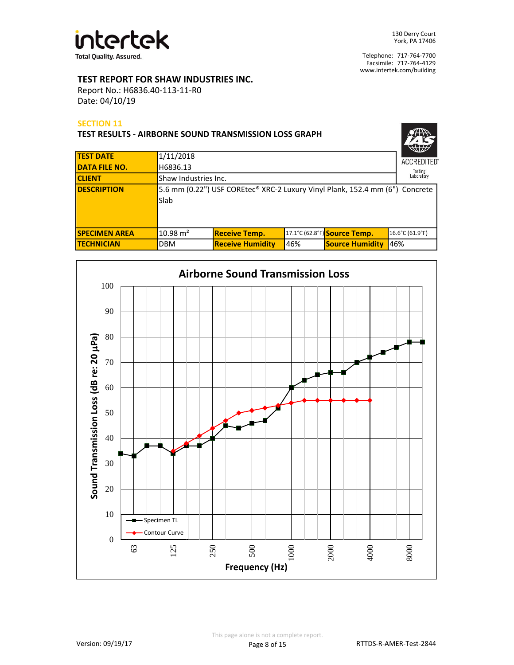

## **TEST REPORT FOR SHAW INDUSTRIES INC.**

Report No.: H6836.40-113-11-R0 Date: 04/10/19

#### **SECTION 11**

| <b>TEST RESULTS - AIRBORNE SOUND TRANSMISSION LOSS GRAPH</b> |                      |                                                                              |     |                              |                              |  |  |
|--------------------------------------------------------------|----------------------|------------------------------------------------------------------------------|-----|------------------------------|------------------------------|--|--|
| <b>TEST DATE</b>                                             | 1/11/2018            |                                                                              |     |                              |                              |  |  |
| <b>DATA FILE NO.</b>                                         | H6836.13             |                                                                              |     |                              | <b>ACCREDITED</b><br>Testing |  |  |
| <b>CLIENT</b>                                                | Shaw Industries Inc. |                                                                              |     |                              | Laboratory                   |  |  |
| <b>IDESCRIPTION</b>                                          | Slab                 | 5.6 mm (0.22") USF COREtec® XRC-2 Luxury Vinyl Plank, 152.4 mm (6") Concrete |     |                              |                              |  |  |
| <b>SPECIMEN AREA</b>                                         | $10.98 \text{ m}^2$  | <b>Receive Temp.</b>                                                         |     | 17.1°C (62.8°F) Source Temp. | 16.6°C (61.9°F)              |  |  |
| <b>TECHNICIAN</b>                                            | <b>DBM</b>           | <b>Receive Humidity</b>                                                      | 46% | <b>Source Humidity</b>       | 46%                          |  |  |

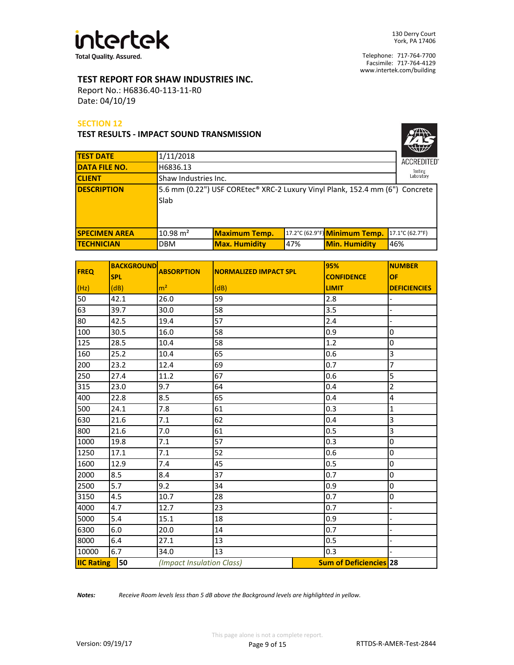

## **TEST REPORT FOR SHAW INDUSTRIES INC.**

Report No.: H6836.40-113-11-R0 Date: 04/10/19

#### **SECTION 12**

#### **TEST RESULTS - IMPACT SOUND TRANSMISSION**

|                      |                      |                                                                              |     |                               | W                  |
|----------------------|----------------------|------------------------------------------------------------------------------|-----|-------------------------------|--------------------|
| <b>TEST DATE</b>     | 1/11/2018            |                                                                              |     |                               | <b>ACCREDITED®</b> |
| <b>DATA FILE NO.</b> | H6836.13             |                                                                              |     |                               | Testing            |
| <b>CLIENT</b>        | Shaw Industries Inc. |                                                                              |     |                               | Laboratory         |
| <b>DESCRIPTION</b>   | Slab                 | 5.6 mm (0.22") USF COREtec® XRC-2 Luxury Vinyl Plank, 152.4 mm (6") Concrete |     |                               |                    |
| <b>SPECIMEN AREA</b> | $10.98 \text{ m}^2$  | <b>Maximum Temp.</b>                                                         |     | 17.2°C (62.9°F) Minimum Temp. | 17.1°C (62.7°F)    |
| <b>TECHNICIAN</b>    | <b>DBM</b>           | <b>Max. Humidity</b>                                                         | 47% | <b>Min. Humidity</b>          | 46%                |

| <b>FREQ</b>       | <b>BACKGROUND</b> | <b>ABSORPTION</b>         | <b>NORMALIZED IMPACT SPL</b> | 95%                           | <b>NUMBER</b>       |
|-------------------|-------------------|---------------------------|------------------------------|-------------------------------|---------------------|
|                   | <b>SPL</b>        |                           |                              | <b>CONFIDENCE</b>             | OF                  |
| (Hz)              | (dB)              | m <sup>2</sup>            | (dB)                         | <b>LIMIT</b>                  | <b>DEFICIENCIES</b> |
| 50                | 42.1              | 26.0                      | 59                           | 2.8                           |                     |
| 63                | 39.7              | 30.0                      | 58                           | 3.5                           |                     |
| 80                | 42.5              | 19.4                      | 57                           | 2.4                           |                     |
| 100               | 30.5              | 16.0                      | 58                           | 0.9                           | 0                   |
| 125               | 28.5              | 10.4                      | 58                           | 1.2                           | 0                   |
| 160               | 25.2              | 10.4                      | 65                           | 0.6                           | 3                   |
| 200               | 23.2              | 12.4                      | 69                           | 0.7                           | 7                   |
| 250               | 27.4              | 11.2                      | 67                           | 0.6                           | 5                   |
| 315               | 23.0              | 9.7                       | 64                           | 0.4                           | $\overline{2}$      |
| 400               | 22.8              | 8.5                       | 65                           | 0.4                           | 4                   |
| 500               | 24.1              | 7.8                       | 61                           | 0.3                           | 1                   |
| 630               | 21.6              | 7.1                       | 62                           | 0.4                           | 3                   |
| 800               | 21.6              | 7.0                       | 61                           | 0.5                           | 3                   |
| 1000              | 19.8              | 7.1                       | 57                           | 0.3                           | 0                   |
| 1250              | 17.1              | 7.1                       | 52                           | 0.6                           | 0                   |
| 1600              | 12.9              | 7.4                       | 45                           | 0.5                           | 0                   |
| 2000              | 8.5               | 8.4                       | 37                           | 0.7                           | 0                   |
| 2500              | 5.7               | 9.2                       | 34                           | 0.9                           | 0                   |
| 3150              | 4.5               | 10.7                      | 28                           | 0.7                           | 0                   |
| 4000              | 4.7               | 12.7                      | 23                           | 0.7                           |                     |
| 5000              | 5.4               | 15.1                      | 18                           | 0.9                           |                     |
| 6300              | 6.0               | 20.0                      | 14                           | 0.7                           |                     |
| 8000              | 6.4               | 27.1                      | 13                           | 0.5                           |                     |
| 10000             | 6.7               | 34.0                      | 13                           | 0.3                           |                     |
| <b>IIC Rating</b> | 50                | (Impact Insulation Class) |                              | <b>Sum of Deficiencies 28</b> |                     |

*Notes: Receive Room levels less than 5 dB above the Background levels are highlighted in yellow.*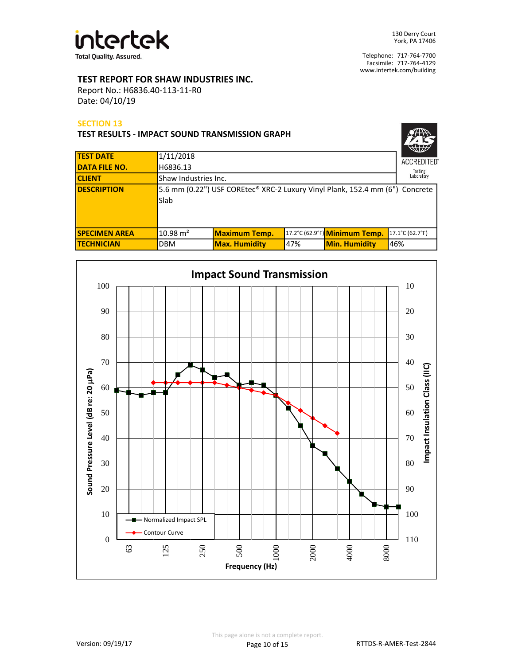

## **TEST REPORT FOR SHAW INDUSTRIES INC.**

Report No.: H6836.40-113-11-R0 Date: 04/10/19

#### **SECTION 13**

| <b>TEST RESULTS - IMPACT SOUND TRANSMISSION GRAPH</b> |                                                                                      |                                    |     |                               |                              |  |
|-------------------------------------------------------|--------------------------------------------------------------------------------------|------------------------------------|-----|-------------------------------|------------------------------|--|
| <b>TEST DATE</b>                                      | 1/11/2018                                                                            |                                    |     |                               |                              |  |
| <b>DATA FILE NO.</b>                                  | H6836.13                                                                             |                                    |     |                               | <b>ACCREDITED</b><br>Testing |  |
| <b>CLIENT</b>                                         |                                                                                      | Laboratory<br>Shaw Industries Inc. |     |                               |                              |  |
| <b>DESCRIPTION</b>                                    | 5.6 mm (0.22") USF COREtec® XRC-2 Luxury Vinyl Plank, 152.4 mm (6") Concrete<br>Slab |                                    |     |                               |                              |  |
| <b>SPECIMEN AREA</b>                                  | $10.98 \text{ m}^2$                                                                  | <b>Maximum Temp.</b>               |     | 17.2°C (62.9°F) Minimum Temp. | 17.1°C (62.7°F)              |  |
| <b>TECHNICIAN</b>                                     | <b>DBM</b>                                                                           | <b>Max. Humidity</b>               | 47% | <b>Min. Humidity</b>          | 46%                          |  |

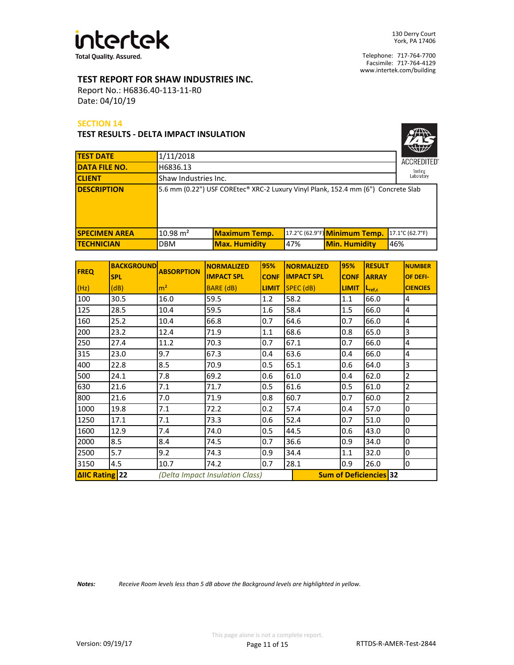

## **TEST REPORT FOR SHAW INDUSTRIES INC.**

Report No.: H6836.40-113-11-R0 Date: 04/10/19

#### **SECTION 14**

#### **TEST RESULTS - DELTA IMPACT INSULATION**

| <b>ACCREDITED</b> ®   |
|-----------------------|
| Testing<br>Laboratory |

| <b>TEST DATE</b>     | 1/11/2018            |                                                                                   |     | <b>ACCREDITED</b>             |                 |  |
|----------------------|----------------------|-----------------------------------------------------------------------------------|-----|-------------------------------|-----------------|--|
| <b>DATA FILE NO.</b> | H6836.13             |                                                                                   |     |                               | Testing         |  |
| <b>CLIENT</b>        | Shaw Industries Inc. |                                                                                   |     |                               |                 |  |
| <b>DESCRIPTION</b>   |                      | 5.6 mm (0.22") USF COREtec® XRC-2 Luxury Vinyl Plank, 152.4 mm (6") Concrete Slab |     |                               |                 |  |
| <b>SPECIMEN AREA</b> | $10.98 \text{ m}^2$  | <b>Maximum Temp.</b>                                                              |     | 17.2°C (62.9°F) Minimum Temp. | 17.1°C (62.7°F) |  |
| <b>TECHNICIAN</b>    | <b>DBM</b>           | <b>Max. Humidity</b>                                                              | 47% | <b>Min. Humidity</b>          | 46%             |  |

| <b>FREQ</b>                                              | <b>BACKGROUND</b> | <b>ABSORPTION</b> | <b>NORMALIZED</b> | 95%          | <b>NORMALIZED</b>             | 95%          | <b>RESULT</b>      | <b>NUMBER</b>   |
|----------------------------------------------------------|-------------------|-------------------|-------------------|--------------|-------------------------------|--------------|--------------------|-----------------|
|                                                          | <b>SPL</b>        |                   | <b>IMPACT SPL</b> | <b>CONF</b>  | <b>IMPACT SPL</b>             | <b>CONF</b>  | <b>ARRAY</b>       | OF DEFI-        |
| (Hz)                                                     | (dB)              | m <sup>2</sup>    | <b>BARE (dB)</b>  | <b>LIMIT</b> | $SPEC$ (dB)                   | <b>LIMIT</b> | $L_{\text{ref},c}$ | <b>CIENCIES</b> |
| 100                                                      | 30.5              | 16.0              | 59.5              | 1.2          | 58.2                          | 1.1          | 66.0               | $\overline{4}$  |
| 125                                                      | 28.5              | 10.4              | 59.5              | 1.6          | 58.4                          | 1.5          | 66.0               | $\overline{4}$  |
| 160                                                      | 25.2              | 10.4              | 66.8              | 0.7          | 64.6                          | 0.7          | 66.0               | $\overline{4}$  |
| 200                                                      | 23.2              | 12.4              | 71.9              | 1.1          | 68.6                          | 0.8          | 65.0               | 3               |
| 250                                                      | 27.4              | 11.2              | 70.3              | 0.7          | 67.1                          | 0.7          | 66.0               | $\overline{4}$  |
| 315                                                      | 23.0              | 9.7               | 67.3              | 0.4          | 63.6                          | 0.4          | 66.0               | $\overline{4}$  |
| 400                                                      | 22.8              | 8.5               | 70.9              | 0.5          | 65.1                          | 0.6          | 64.0               | 3               |
| 500                                                      | 24.1              | 7.8               | 69.2              | 0.6          | 61.0                          | 0.4          | 62.0               | $\overline{2}$  |
| 630                                                      | 21.6              | 7.1               | 71.7              | 0.5          | 61.6                          | 0.5          | 61.0               | $\overline{2}$  |
| 800                                                      | 21.6              | 7.0               | 71.9              | 0.8          | 60.7                          | 0.7          | 60.0               | $\mathbf 2$     |
| 1000                                                     | 19.8              | 7.1               | 72.2              | 0.2          | 57.4                          | 0.4          | 57.0               | 0               |
| 1250                                                     | 17.1              | 7.1               | 73.3              | 0.6          | 52.4                          | 0.7          | 51.0               | 0               |
| 1600                                                     | 12.9              | 7.4               | 74.0              | 0.5          | 44.5                          | 0.6          | 43.0               | 0               |
| 2000                                                     | 8.5               | 8.4               | 74.5              | 0.7          | 36.6                          | 0.9          | 34.0               | 0               |
| 2500                                                     | 5.7               | 9.2               | 74.3              | 0.9          | 34.4                          | 1.1          | 32.0               | 0               |
| 3150                                                     | 4.5               | 10.7              | 74.2              | 0.7          | 28.1                          | 0.9          | 26.0               | 0               |
| <b>ΔΙΙC Rating 22</b><br>(Delta Impact Insulation Class) |                   |                   |                   |              | <b>Sum of Deficiencies 32</b> |              |                    |                 |

*Notes: Receive Room levels less than 5 dB above the Background levels are highlighted in yellow.*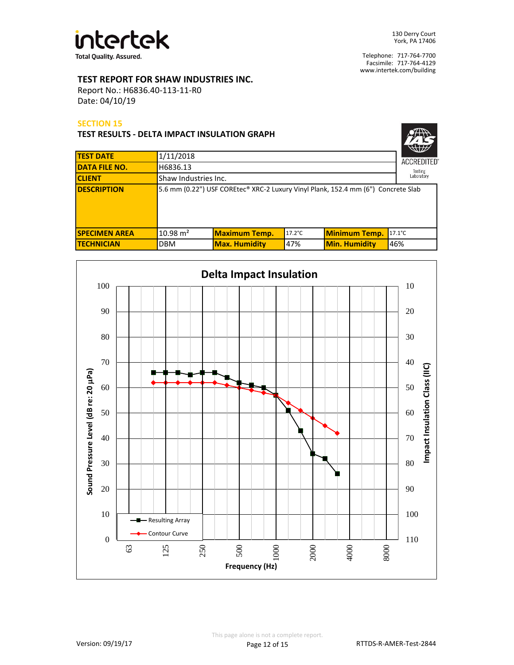

## **TEST REPORT FOR SHAW INDUSTRIES INC.**

Report No.: H6836.40-113-11-R0 Date: 04/10/19

#### **SECTION 15**

**TEST RESULTS - DELTA IMPACT INSULATION GRAPH**

| <b>ACCREDITED®</b>    |
|-----------------------|
| Testing<br>Laboratory |

| <b>TEST DATE</b>     | 1/11/2018           |                                                                                   |                  |                      | $\sim$<br><b>ACCREDITED</b> |  |
|----------------------|---------------------|-----------------------------------------------------------------------------------|------------------|----------------------|-----------------------------|--|
| <b>DATA FILE NO.</b> | H6836.13            |                                                                                   |                  |                      |                             |  |
| <b>CLIENT</b>        |                     | Testing<br>Laboratory<br>Shaw Industries Inc.                                     |                  |                      |                             |  |
| <b>DESCRIPTION</b>   |                     | 5.6 mm (0.22") USF COREtec® XRC-2 Luxury Vinyl Plank, 152.4 mm (6") Concrete Slab |                  |                      |                             |  |
| <b>SPECIMEN AREA</b> | $10.98 \text{ m}^2$ | <b>Maximum Temp.</b>                                                              | $17.2^{\circ}$ C | <b>Minimum Temp.</b> | $17.1^{\circ}$ C            |  |
| <b>ITECHNICIAN</b>   | <b>DBM</b>          | <b>Max. Humidity</b>                                                              | 47%              | <b>Min. Humidity</b> | 46%                         |  |

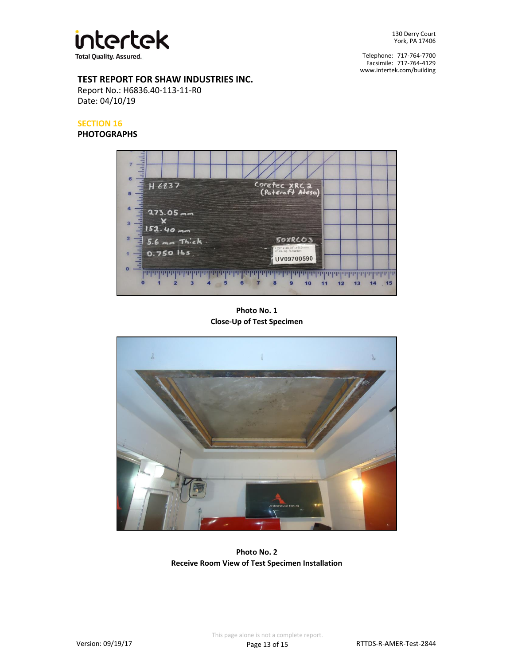

Facsimile: 717-764-4129 Telephone: 717-764-7700 www.intertek.com/building

## **TEST REPORT FOR SHAW INDUSTRIES INC.**

Report No.: H6836.40-113-11-R0 Date: 04/10/19

# **SECTION 16**

**PHOTOGRAPHS**



**Photo No. 1 Close-Up of Test Specimen**



**Photo No. 2 Receive Room View of Test Specimen Installation**

This page alone is not a complete report.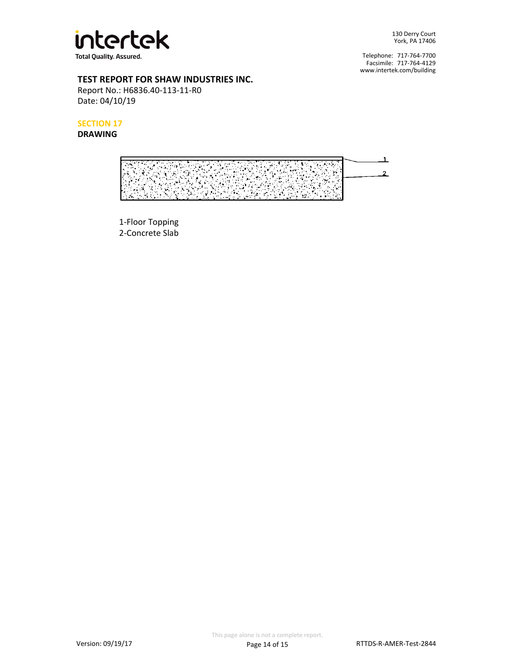

Facsimile: 717-764-4129 Telephone: 717-764-7700 www.intertek.com/building

# **TEST REPORT FOR SHAW INDUSTRIES INC.**

Report No.: H6836.40-113-11-R0 Date: 04/10/19

**SECTION 17**

**DRAWING**

 $\perp$  $\overline{C}$ τ والمجرارة  $\ddot{\phantom{a}}$  $\overline{2}$ 43  $\ddot{\phantom{a}}$  $\hat{\mathbf{z}}$ A  $\mathcal{L}_{\mathbf{z}}$  $\mathcal{N}_{\mathcal{A}}$  $\sim 100$ VI) N ъś.

1-Floor Topping 2-Concrete Slab